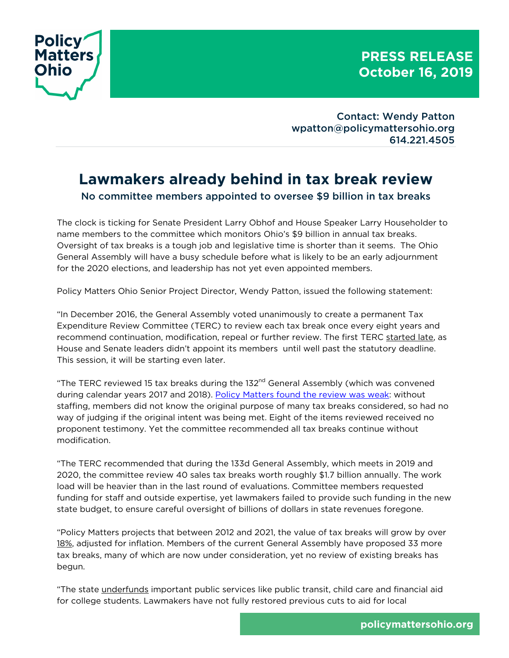

Contact: Wendy Patton wpatton@policymattersohio.org 614.221.4505

## **Lawmakers already behind in tax break review** No committee members appointed to oversee \$9 billion in tax breaks

The clock is ticking for Senate President Larry Obhof and House Speaker Larry Householder to name members to the committee which monitors Ohio's \$9 billion in annual tax breaks. Oversight of tax breaks is a tough job and legislative time is shorter than it seems. The Ohio General Assembly will have a busy schedule before what is likely to be an early adjournment for the 2020 elections, and leadership has not yet even appointed members.

Policy Matters Ohio Senior Project Director, Wendy Patton, issued the following statement:

"In December 2016, the General Assembly voted unanimously to create a permanent Tax Expenditure Review Committee (TERC) to review each tax break once every eight years and recommend continuation, modification, repeal or further review. The first TERC started late, as House and Senate leaders didn't appoint its members until well past the statutory deadline. This session, it will be starting even later.

"The TERC reviewed 15 tax breaks during the  $132<sup>nd</sup>$  General Assembly (which was convened during calendar years 2017 and 2018). Policy Matters found the review was weak: without staffing, members did not know the original purpose of many tax breaks considered, so had no way of judging if the original intent was being met. Eight of the items reviewed received no proponent testimony. Yet the committee recommended all tax breaks continue without modification.

"The TERC recommended that during the 133d General Assembly, which meets in 2019 and 2020, the committee review 40 sales tax breaks worth roughly \$1.7 billion annually. The work load will be heavier than in the last round of evaluations. Committee members requested funding for staff and outside expertise, yet lawmakers failed to provide such funding in the new state budget, to ensure careful oversight of billions of dollars in state revenues foregone.

"Policy Matters projects that between 2012 and 2021, the value of tax breaks will grow by over 18%, adjusted for inflation. Members of the current General Assembly have proposed 33 more tax breaks, many of which are now under consideration, yet no review of existing breaks has begun.

"The state underfunds important public services like public transit, child care and financial aid for college students. Lawmakers have not fully restored previous cuts to aid for local